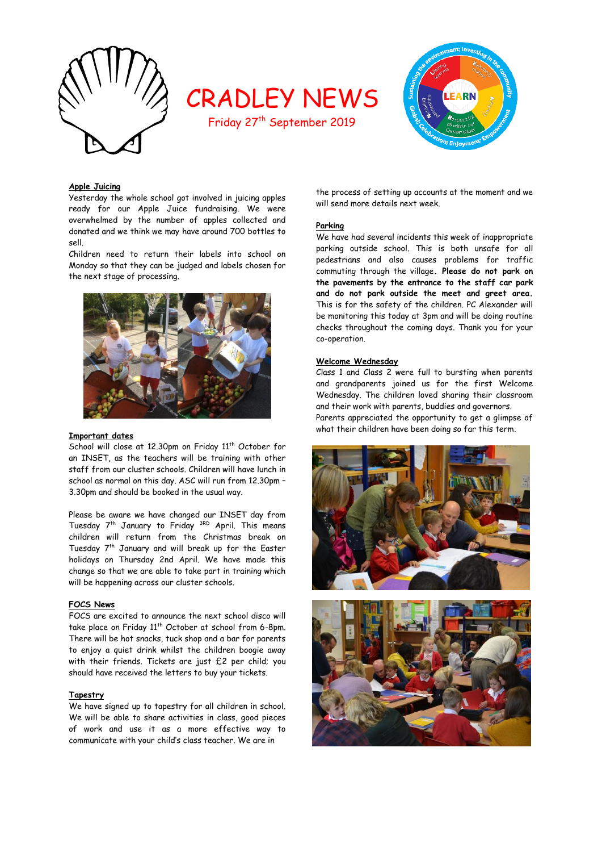

# CRADLEY NEWS

Friday 27<sup>th</sup> September 2019



## **Apple Juicing**

Yesterday the whole school got involved in juicing apples ready for our Apple Juice fundraising. We were overwhelmed by the number of apples collected and donated and we think we may have around 700 bottles to sell.

Children need to return their labels into school on Monday so that they can be judged and labels chosen for the next stage of processing.



#### **Important dates**

School will close at 12.30pm on Friday 11<sup>th</sup> October for an INSET, as the teachers will be training with other staff from our cluster schools. Children will have lunch in school as normal on this day. ASC will run from 12.30pm – 3.30pm and should be booked in the usual way.

Please be aware we have changed our INSET day from Tuesday 7<sup>th</sup> January to Friday <sup>3RD</sup> April. This means children will return from the Christmas break on Tuesday  $7<sup>th</sup>$  January and will break up for the Easter holidays on Thursday 2nd April. We have made this change so that we are able to take part in training which will be happening across our cluster schools.

#### **FOCS News**

FOCS are excited to announce the next school disco will take place on Friday 11<sup>th</sup> October at school from 6-8pm. There will be hot snacks, tuck shop and a bar for parents to enjoy a quiet drink whilst the children boogie away with their friends. Tickets are just £2 per child; you should have received the letters to buy your tickets.

#### **Tapestry**

We have signed up to tapestry for all children in school. We will be able to share activities in class, good pieces of work and use it as a more effective way to communicate with your child's class teacher. We are in

the process of setting up accounts at the moment and we will send more details next week.

## **Parking**

We have had several incidents this week of inappropriate parking outside school. This is both unsafe for all pedestrians and also causes problems for traffic commuting through the village**. Please do not park on the pavements by the entrance to the staff car park and do not park outside the meet and greet area.** This is for the safety of the children. PC Alexander will be monitoring this today at 3pm and will be doing routine checks throughout the coming days. Thank you for your co-operation.

### **Welcome Wednesday**

Class 1 and Class 2 were full to bursting when parents and grandparents joined us for the first Welcome Wednesday. The children loved sharing their classroom and their work with parents, buddies and governors. Parents appreciated the opportunity to get a glimpse of what their children have been doing so far this term.



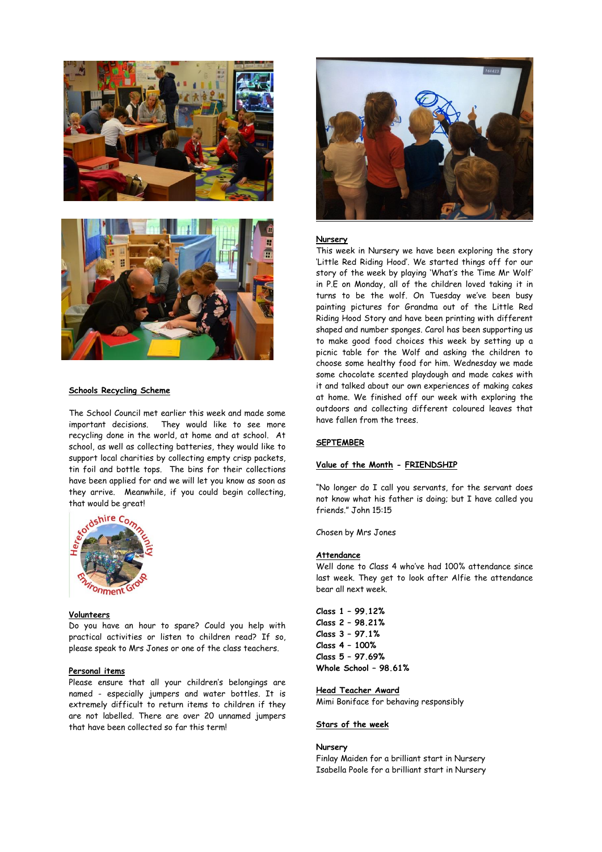



#### **Schools Recycling Scheme**

The School Council met earlier this week and made some important decisions. They would like to see more recycling done in the world, at home and at school. At school, as well as collecting batteries, they would like to support local charities by collecting empty crisp packets, tin foil and bottle tops. The bins for their collections have been applied for and we will let you know as soon as they arrive. Meanwhile, if you could begin collecting, that would be great!



#### **Volunteers**

Do you have an hour to spare? Could you help with practical activities or listen to children read? If so, please speak to Mrs Jones or one of the class teachers.

## **Personal items**

Please ensure that all your children's belongings are named - especially jumpers and water bottles. It is extremely difficult to return items to children if they are not labelled. There are over 20 unnamed jumpers that have been collected so far this term!



## **Nursery**

This week in Nursery we have been exploring the story 'Little Red Riding Hood'. We started things off for our story of the week by playing 'What's the Time Mr Wolf' in P.E on Monday, all of the children loved taking it in turns to be the wolf. On Tuesday we've been busy painting pictures for Grandma out of the Little Red Riding Hood Story and have been printing with different shaped and number sponges. Carol has been supporting us to make good food choices this week by setting up a picnic table for the Wolf and asking the children to choose some healthy food for him. Wednesday we made some chocolate scented playdough and made cakes with it and talked about our own experiences of making cakes at home. We finished off our week with exploring the outdoors and collecting different coloured leaves that have fallen from the trees.

## **SEPTEMBER**

#### **Value of the Month - FRIENDSHIP**

"No longer do I call you servants, for the servant does not know what his father is doing; but I have called you friends." John 15:15

Chosen by Mrs Jones

#### **Attendance**

Well done to Class 4 who've had 100% attendance since last week. They get to look after Alfie the attendance bear all next week.

**Class 1 – 99.12% Class 2 – 98.21% Class 3 – 97.1% Class 4 – 100% Class 5 – 97.69% Whole School – 98.61%**

## **Head Teacher Award**

Mimi Boniface for behaving responsibly

#### **Stars of the week**

## **Nursery**

Finlay Maiden for a brilliant start in Nursery Isabella Poole for a brilliant start in Nursery